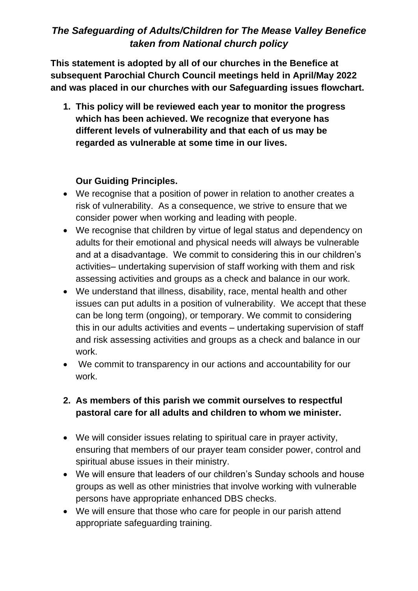# *The Safeguarding of Adults/Children for The Mease Valley Benefice taken from National church policy*

**This statement is adopted by all of our churches in the Benefice at subsequent Parochial Church Council meetings held in April/May 2022 and was placed in our churches with our Safeguarding issues flowchart.**

**1. This policy will be reviewed each year to monitor the progress which has been achieved. We recognize that everyone has different levels of vulnerability and that each of us may be regarded as vulnerable at some time in our lives.** 

#### **Our Guiding Principles.**

- We recognise that a position of power in relation to another creates a risk of vulnerability. As a consequence, we strive to ensure that we consider power when working and leading with people.
- We recognise that children by virtue of legal status and dependency on adults for their emotional and physical needs will always be vulnerable and at a disadvantage. We commit to considering this in our children's activities– undertaking supervision of staff working with them and risk assessing activities and groups as a check and balance in our work.
- We understand that illness, disability, race, mental health and other issues can put adults in a position of vulnerability. We accept that these can be long term (ongoing), or temporary. We commit to considering this in our adults activities and events – undertaking supervision of staff and risk assessing activities and groups as a check and balance in our work.
- We commit to transparency in our actions and accountability for our work.

#### **2. As members of this parish we commit ourselves to respectful pastoral care for all adults and children to whom we minister.**

- We will consider issues relating to spiritual care in prayer activity, ensuring that members of our prayer team consider power, control and spiritual abuse issues in their ministry.
- We will ensure that leaders of our children's Sunday schools and house groups as well as other ministries that involve working with vulnerable persons have appropriate enhanced DBS checks.
- We will ensure that those who care for people in our parish attend appropriate safeguarding training.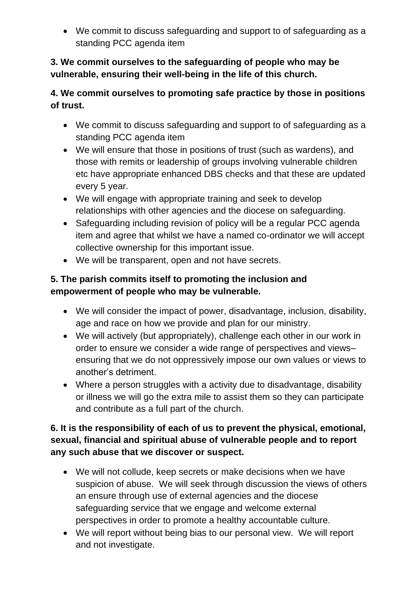• We commit to discuss safeguarding and support to of safeguarding as a standing PCC agenda item

**3. We commit ourselves to the safeguarding of people who may be vulnerable, ensuring their well-being in the life of this church.** 

# **4. We commit ourselves to promoting safe practice by those in positions of trust.**

- We commit to discuss safeguarding and support to of safeguarding as a standing PCC agenda item
- We will ensure that those in positions of trust (such as wardens), and those with remits or leadership of groups involving vulnerable children etc have appropriate enhanced DBS checks and that these are updated every 5 year.
- We will engage with appropriate training and seek to develop relationships with other agencies and the diocese on safeguarding.
- Safeguarding including revision of policy will be a regular PCC agenda item and agree that whilst we have a named co-ordinator we will accept collective ownership for this important issue.
- We will be transparent, open and not have secrets.

# **5. The parish commits itself to promoting the inclusion and empowerment of people who may be vulnerable.**

- We will consider the impact of power, disadvantage, inclusion, disability, age and race on how we provide and plan for our ministry.
- We will actively (but appropriately), challenge each other in our work in order to ensure we consider a wide range of perspectives and views– ensuring that we do not oppressively impose our own values or views to another's detriment.
- Where a person struggles with a activity due to disadvantage, disability or illness we will go the extra mile to assist them so they can participate and contribute as a full part of the church.

## **6. It is the responsibility of each of us to prevent the physical, emotional, sexual, financial and spiritual abuse of vulnerable people and to report any such abuse that we discover or suspect.**

- We will not collude, keep secrets or make decisions when we have suspicion of abuse. We will seek through discussion the views of others an ensure through use of external agencies and the diocese safeguarding service that we engage and welcome external perspectives in order to promote a healthy accountable culture.
- We will report without being bias to our personal view. We will report and not investigate.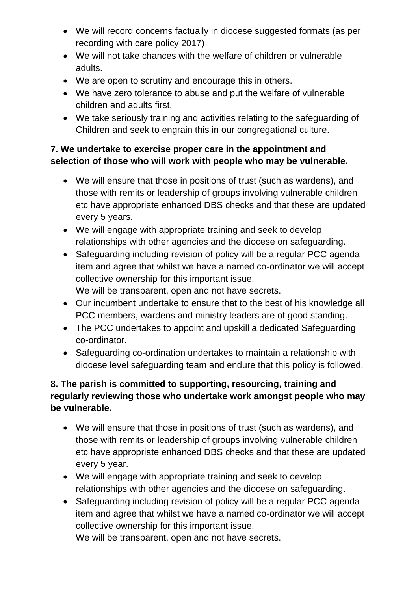- We will record concerns factually in diocese suggested formats (as per recording with care policy 2017)
- We will not take chances with the welfare of children or vulnerable adults.
- We are open to scrutiny and encourage this in others.
- We have zero tolerance to abuse and put the welfare of vulnerable children and adults first.
- We take seriously training and activities relating to the safeguarding of Children and seek to engrain this in our congregational culture.

### **7. We undertake to exercise proper care in the appointment and selection of those who will work with people who may be vulnerable.**

- We will ensure that those in positions of trust (such as wardens), and those with remits or leadership of groups involving vulnerable children etc have appropriate enhanced DBS checks and that these are updated every 5 years.
- We will engage with appropriate training and seek to develop relationships with other agencies and the diocese on safeguarding.
- Safeguarding including revision of policy will be a regular PCC agenda item and agree that whilst we have a named co-ordinator we will accept collective ownership for this important issue. We will be transparent, open and not have secrets.
- Our incumbent undertake to ensure that to the best of his knowledge all PCC members, wardens and ministry leaders are of good standing.
- The PCC undertakes to appoint and upskill a dedicated Safeguarding co-ordinator.
- Safeguarding co-ordination undertakes to maintain a relationship with diocese level safeguarding team and endure that this policy is followed.

## **8. The parish is committed to supporting, resourcing, training and regularly reviewing those who undertake work amongst people who may be vulnerable.**

- We will ensure that those in positions of trust (such as wardens), and those with remits or leadership of groups involving vulnerable children etc have appropriate enhanced DBS checks and that these are updated every 5 year.
- We will engage with appropriate training and seek to develop relationships with other agencies and the diocese on safeguarding.
- Safeguarding including revision of policy will be a regular PCC agenda item and agree that whilst we have a named co-ordinator we will accept collective ownership for this important issue.

We will be transparent, open and not have secrets.